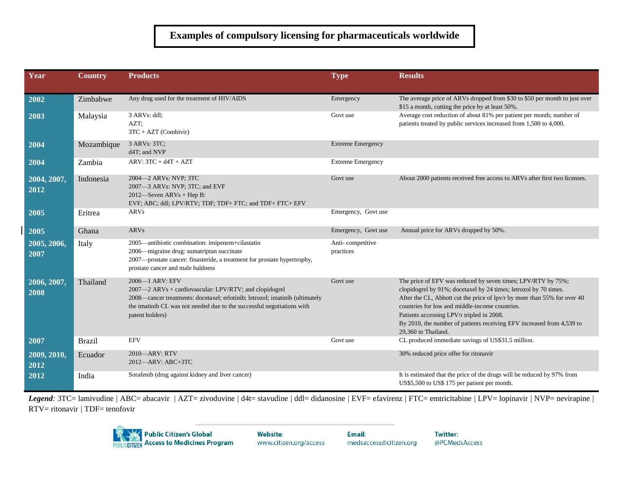## **Examples of compulsory licensing for pharmaceuticals worldwide**

| Year                | <b>Country</b> | <b>Products</b>                                                                                                                                                                                                                                        | <b>Type</b>                   | <b>Results</b>                                                                                                                                                                                                                                                                                                                                                                                              |
|---------------------|----------------|--------------------------------------------------------------------------------------------------------------------------------------------------------------------------------------------------------------------------------------------------------|-------------------------------|-------------------------------------------------------------------------------------------------------------------------------------------------------------------------------------------------------------------------------------------------------------------------------------------------------------------------------------------------------------------------------------------------------------|
|                     |                |                                                                                                                                                                                                                                                        |                               |                                                                                                                                                                                                                                                                                                                                                                                                             |
| 2002                | Zimbabwe       | Any drug used for the treatment of HIV/AIDS                                                                                                                                                                                                            | Emergency                     | The average price of ARVs dropped from \$30 to \$50 per month to just over<br>\$15 a month, cutting the price by at least 50%.                                                                                                                                                                                                                                                                              |
| 2003                | Malaysia       | 3 ARVs: ddl;<br>AZT:<br>$3TC + AZT$ (Combivir)                                                                                                                                                                                                         | Govt use                      | Average cost reduction of about 81% per patient per month; number of<br>patients treated by public services increased from 1,500 to 4,000.                                                                                                                                                                                                                                                                  |
| 2004                | Mozambique     | 3 ARVs: 3TC;<br>d4T; and NVP                                                                                                                                                                                                                           | <b>Extreme Emergency</b>      |                                                                                                                                                                                                                                                                                                                                                                                                             |
| 2004                | Zambia         | $ARV: 3TC + d4T + AZT$                                                                                                                                                                                                                                 | <b>Extreme Emergency</b>      |                                                                                                                                                                                                                                                                                                                                                                                                             |
| 2004, 2007,<br>2012 | Indonesia      | 2004-2 ARVs: NVP; 3TC<br>2007-3 ARVs: NVP; 3TC; and EVF<br>$2012$ —Seven ARVs + Hep B:<br>EVF; ABC; ddl; LPV/RTV; TDF; TDF+ FTC; and TDF+ FTC+ EFV                                                                                                     | Govt use                      | About 2000 patients received free access to ARVs after first two licenses.                                                                                                                                                                                                                                                                                                                                  |
| 2005                | Eritrea        | ARVs                                                                                                                                                                                                                                                   | Emergency, Govt use           |                                                                                                                                                                                                                                                                                                                                                                                                             |
| 2005                | Ghana          | ARVs                                                                                                                                                                                                                                                   | Emergency, Govt use           | Annual price for ARVs dropped by 50%.                                                                                                                                                                                                                                                                                                                                                                       |
| 2005, 2006,<br>2007 | Italy          | 2005—antibiotic combination: imipenem+cilastatin<br>2006—migraine drug: sumatriptan succinate<br>2007-prostate cancer: finasteride, a treatment for prostate hypertrophy,<br>prostate cancer and male baldness                                         | Anti-competitive<br>practices |                                                                                                                                                                                                                                                                                                                                                                                                             |
| 2006, 2007,<br>2008 | Thailand       | 2006-1 ARV: EFV<br>2007-2 ARVs + cardiovascular: LPV/RTV; and clopidogrel<br>2008—cancer treatments: docetaxel; erlotinib; letrozol; imatinib (ultimately<br>the imatinib CL was not needed due to the successful negotiations with<br>patent holders) | Govt use                      | The price of EFV was reduced by seven times; LPV/RTV by 75%;<br>clopidogrel by 91%; docetaxel by 24 times; letrozol by 70 times.<br>After the CL, Abbott cut the price of lpv/r by more than 55% for over 40<br>countries for low and middle-income countries.<br>Patients accessing LPV/r tripled in 2008.<br>By 2010, the number of patients receiving EFV increased from 4,539 to<br>29.360 in Thailand. |
| 2007                | <b>Brazil</b>  | <b>EFV</b>                                                                                                                                                                                                                                             | Govt use                      | CL produced immediate savings of US\$31.5 million.                                                                                                                                                                                                                                                                                                                                                          |
| 2009, 2010,<br>2012 | Ecuador        | 2010-ARV: RTV<br>2012-ARV: ABC+3TC                                                                                                                                                                                                                     |                               | 30% reduced price offer for ritonavir                                                                                                                                                                                                                                                                                                                                                                       |
| 2012                | India          | Sorafenib (drug against kidney and liver cancer)                                                                                                                                                                                                       |                               | It is estimated that the price of the drugs will be reduced by 97% from<br>US\$5,500 to US\$ 175 per patient per month.                                                                                                                                                                                                                                                                                     |

Legend: 3TC= lamivudine / ABC= abacavir / AZT= zivoduvine / d4t= stavudine / ddl= didanosine / EVF= efavirenz / FTC= emtricitabine / LPV= lopinavir / NVP= nevirapine / RTV= ritonavir *|* TDF= tenofovir



**Website:** www.citizen.org/access **Twitter:** @PCMedsAccess